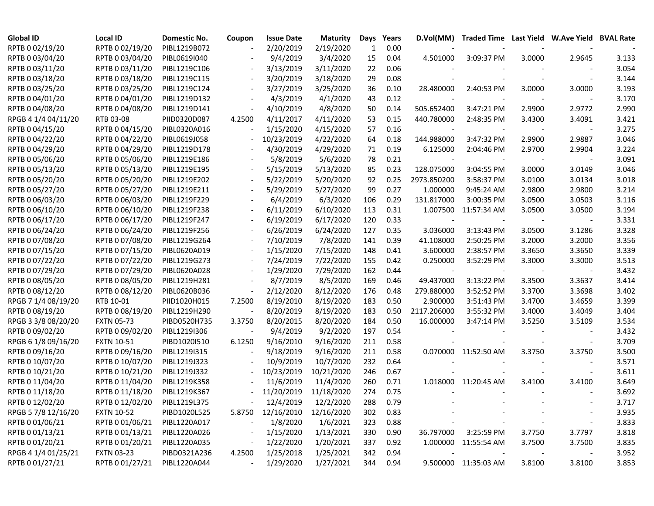| <b>Global ID</b>    | <b>Local ID</b>   | Domestic No. | Coupon                   | <b>Issue Date</b> | <b>Maturity</b> | Days | Years | D.Vol(MM)   |                      |        | Traded Time Last Yield W.Ave Yield BVAL Rate |       |
|---------------------|-------------------|--------------|--------------------------|-------------------|-----------------|------|-------|-------------|----------------------|--------|----------------------------------------------|-------|
| RPTB 0 02/19/20     | RPTB 0 02/19/20   | PIBL1219B072 |                          | 2/20/2019         | 2/19/2020       | 1    | 0.00  |             |                      |        |                                              |       |
| RPTB 0 03/04/20     | RPTB 0 03/04/20   | PIBL0619I040 |                          | 9/4/2019          | 3/4/2020        | 15   | 0.04  | 4.501000    | 3:09:37 PM           | 3.0000 | 2.9645                                       | 3.133 |
| RPTB 0 03/11/20     | RPTB 0 03/11/20   | PIBL1219C106 |                          | 3/13/2019         | 3/11/2020       | 22   | 0.06  |             |                      |        |                                              | 3.054 |
| RPTB 0 03/18/20     | RPTB 0 03/18/20   | PIBL1219C115 |                          | 3/20/2019         | 3/18/2020       | 29   | 0.08  |             |                      |        |                                              | 3.144 |
| RPTB 0 03/25/20     | RPTB 0 03/25/20   | PIBL1219C124 |                          | 3/27/2019         | 3/25/2020       | 36   | 0.10  | 28.480000   | 2:40:53 PM           | 3.0000 | 3.0000                                       | 3.193 |
| RPTB 0 04/01/20     | RPTB 0 04/01/20   | PIBL1219D132 |                          | 4/3/2019          | 4/1/2020        | 43   | 0.12  |             |                      |        |                                              | 3.170 |
| RPTB 0 04/08/20     | RPTB 0 04/08/20   | PIBL1219D141 | $\blacksquare$           | 4/10/2019         | 4/8/2020        | 50   | 0.14  | 505.652400  | 3:47:21 PM           | 2.9900 | 2.9772                                       | 2.990 |
| RPGB 4 1/4 04/11/20 | RTB 03-08         | PIID0320D087 | 4.2500                   | 4/11/2017         | 4/11/2020       | 53   | 0.15  | 440.780000  | 2:48:35 PM           | 3.4300 | 3.4091                                       | 3.421 |
| RPTB 0 04/15/20     | RPTB 0 04/15/20   | PIBL0320A016 | $\overline{\phantom{a}}$ | 1/15/2020         | 4/15/2020       | 57   | 0.16  |             |                      |        |                                              | 3.275 |
| RPTB 0 04/22/20     | RPTB 0 04/22/20   | PIBL0619J058 | $\overline{\phantom{a}}$ | 10/23/2019        | 4/22/2020       | 64   | 0.18  | 144.988000  | 3:47:32 PM           | 2.9900 | 2.9887                                       | 3.046 |
| RPTB 0 04/29/20     | RPTB 0 04/29/20   | PIBL1219D178 |                          | 4/30/2019         | 4/29/2020       | 71   | 0.19  | 6.125000    | 2:04:46 PM           | 2.9700 | 2.9904                                       | 3.224 |
| RPTB 0 05/06/20     | RPTB 0 05/06/20   | PIBL1219E186 |                          | 5/8/2019          | 5/6/2020        | 78   | 0.21  |             |                      |        |                                              | 3.091 |
| RPTB 0 05/13/20     | RPTB 0 05/13/20   | PIBL1219E195 |                          | 5/15/2019         | 5/13/2020       | 85   | 0.23  | 128.075000  | 3:04:55 PM           | 3.0000 | 3.0149                                       | 3.046 |
| RPTB 0 05/20/20     | RPTB 0 05/20/20   | PIBL1219E202 |                          | 5/22/2019         | 5/20/2020       | 92   | 0.25  | 2973.850200 | 3:58:37 PM           | 3.0100 | 3.0134                                       | 3.018 |
| RPTB 0 05/27/20     | RPTB 0 05/27/20   | PIBL1219E211 |                          | 5/29/2019         | 5/27/2020       | 99   | 0.27  | 1.000000    | 9:45:24 AM           | 2.9800 | 2.9800                                       | 3.214 |
| RPTB 0 06/03/20     | RPTB 0 06/03/20   | PIBL1219F229 |                          | 6/4/2019          | 6/3/2020        | 106  | 0.29  | 131.817000  | 3:00:35 PM           | 3.0500 | 3.0503                                       | 3.116 |
| RPTB 0 06/10/20     | RPTB 0 06/10/20   | PIBL1219F238 |                          | 6/11/2019         | 6/10/2020       | 113  | 0.31  | 1.007500    | 11:57:34 AM          | 3.0500 | 3.0500                                       | 3.194 |
| RPTB 0 06/17/20     | RPTB 0 06/17/20   | PIBL1219F247 |                          | 6/19/2019         | 6/17/2020       | 120  | 0.33  |             |                      |        | $\overline{\phantom{a}}$                     | 3.331 |
| RPTB 0 06/24/20     | RPTB 0 06/24/20   | PIBL1219F256 |                          | 6/26/2019         | 6/24/2020       | 127  | 0.35  | 3.036000    | 3:13:43 PM           | 3.0500 | 3.1286                                       | 3.328 |
| RPTB 0 07/08/20     | RPTB 0 07/08/20   | PIBL1219G264 |                          | 7/10/2019         | 7/8/2020        | 141  | 0.39  | 41.108000   | 2:50:25 PM           | 3.2000 | 3.2000                                       | 3.356 |
| RPTB 0 07/15/20     | RPTB 0 07/15/20   | PIBL0620A019 |                          | 1/15/2020         | 7/15/2020       | 148  | 0.41  | 3.600000    | 2:38:57 PM           | 3.3650 | 3.3650                                       | 3.339 |
| RPTB 0 07/22/20     | RPTB 0 07/22/20   | PIBL1219G273 |                          | 7/24/2019         | 7/22/2020       | 155  | 0.42  | 0.250000    | 3:52:29 PM           | 3.3000 | 3.3000                                       | 3.513 |
| RPTB 0 07/29/20     | RPTB 0 07/29/20   | PIBL0620A028 |                          | 1/29/2020         | 7/29/2020       | 162  | 0.44  |             |                      |        |                                              | 3.432 |
| RPTB 0 08/05/20     | RPTB 0 08/05/20   | PIBL1219H281 |                          | 8/7/2019          | 8/5/2020        | 169  | 0.46  | 49.437000   | 3:13:22 PM           | 3.3500 | 3.3637                                       | 3.414 |
| RPTB 0 08/12/20     | RPTB 0 08/12/20   | PIBL0620B036 | $\blacksquare$           | 2/12/2020         | 8/12/2020       | 176  | 0.48  | 279.880000  | 3:52:52 PM           | 3.3700 | 3.3698                                       | 3.402 |
| RPGB 7 1/4 08/19/20 | RTB 10-01         | PIID1020H015 | 7.2500                   | 8/19/2010         | 8/19/2020       | 183  | 0.50  | 2.900000    | 3:51:43 PM           | 3.4700 | 3.4659                                       | 3.399 |
| RPTB 0 08/19/20     | RPTB 0 08/19/20   | PIBL1219H290 |                          | 8/20/2019         | 8/19/2020       | 183  | 0.50  | 2117.206000 | 3:55:32 PM           | 3.4000 | 3.4049                                       | 3.404 |
| RPGB 3 3/8 08/20/20 | <b>FXTN 05-73</b> | PIBD0520H735 | 3.3750                   | 8/20/2015         | 8/20/2020       | 184  | 0.50  | 16.000000   | 3:47:14 PM           | 3.5250 | 3.5109                                       | 3.534 |
| RPTB 0 09/02/20     | RPTB 0 09/02/20   | PIBL1219I306 |                          | 9/4/2019          | 9/2/2020        | 197  | 0.54  |             |                      |        |                                              | 3.432 |
| RPGB 6 1/8 09/16/20 | <b>FXTN 10-51</b> | PIBD1020I510 | 6.1250                   | 9/16/2010         | 9/16/2020       | 211  | 0.58  |             |                      |        |                                              | 3.709 |
| RPTB 0 09/16/20     | RPTB 0 09/16/20   | PIBL1219I315 | $\overline{\phantom{a}}$ | 9/18/2019         | 9/16/2020       | 211  | 0.58  |             | 0.070000 11:52:50 AM | 3.3750 | 3.3750                                       | 3.500 |
| RPTB 0 10/07/20     | RPTB 0 10/07/20   | PIBL1219J323 |                          | 10/9/2019         | 10/7/2020       | 232  | 0.64  |             |                      |        |                                              | 3.571 |
| RPTB 0 10/21/20     | RPTB 0 10/21/20   | PIBL1219J332 | $\overline{\phantom{a}}$ | 10/23/2019        | 10/21/2020      | 246  | 0.67  |             |                      |        |                                              | 3.611 |
| RPTB 0 11/04/20     | RPTB 0 11/04/20   | PIBL1219K358 |                          | 11/6/2019         | 11/4/2020       | 260  | 0.71  |             | 1.018000 11:20:45 AM | 3.4100 | 3.4100                                       | 3.649 |
| RPTB 0 11/18/20     | RPTB 0 11/18/20   | PIBL1219K367 |                          | 11/20/2019        | 11/18/2020      | 274  | 0.75  |             |                      |        |                                              | 3.692 |
| RPTB 0 12/02/20     | RPTB 0 12/02/20   | PIBL1219L375 |                          | 12/4/2019         | 12/2/2020       | 288  | 0.79  |             |                      |        |                                              | 3.717 |
| RPGB 5 7/8 12/16/20 | <b>FXTN 10-52</b> | PIBD1020L525 |                          | 5.8750 12/16/2010 | 12/16/2020      | 302  | 0.83  |             |                      |        |                                              | 3.935 |
| RPTB 0 01/06/21     | RPTB 0 01/06/21   | PIBL1220A017 |                          | 1/8/2020          | 1/6/2021        | 323  | 0.88  |             |                      |        |                                              | 3.833 |
| RPTB 0 01/13/21     | RPTB 0 01/13/21   | PIBL1220A026 |                          | 1/15/2020         | 1/13/2021       | 330  | 0.90  | 36.797000   | 3:25:59 PM           | 3.7750 | 3.7797                                       | 3.818 |
| RPTB 0 01/20/21     | RPTB 0 01/20/21   | PIBL1220A035 |                          | 1/22/2020         | 1/20/2021       | 337  | 0.92  |             | 1.000000 11:55:54 AM | 3.7500 | 3.7500                                       | 3.835 |
| RPGB 4 1/4 01/25/21 | <b>FXTN 03-23</b> | PIBD0321A236 | 4.2500                   | 1/25/2018         | 1/25/2021       | 342  | 0.94  |             |                      |        | $\overline{\phantom{a}}$                     | 3.952 |
| RPTB 0 01/27/21     | RPTB 0 01/27/21   | PIBL1220A044 | $\blacksquare$           | 1/29/2020         | 1/27/2021       | 344  | 0.94  |             | 9.500000 11:35:03 AM | 3.8100 | 3.8100                                       | 3.853 |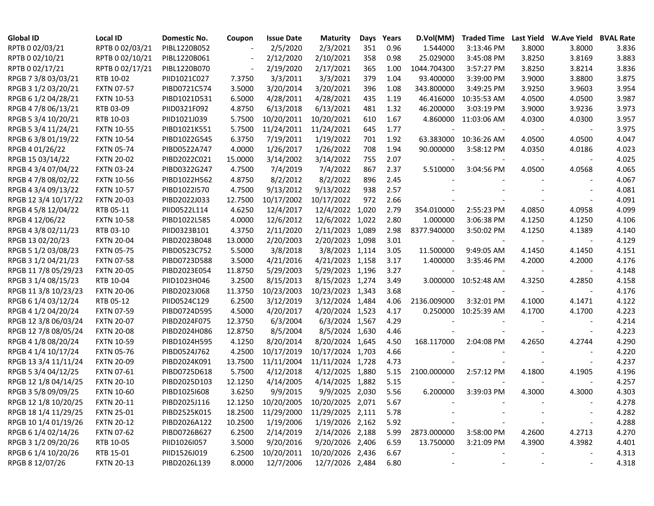| <b>Global ID</b>     | <b>Local ID</b>   | Domestic No. | Coupon  | <b>Issue Date</b>                   | <b>Maturity</b>  | Days  | Years | D.Vol(MM)   | <b>Traded Time</b> |        | Last Yield W.Ave Yield BVAL Rate |       |
|----------------------|-------------------|--------------|---------|-------------------------------------|------------------|-------|-------|-------------|--------------------|--------|----------------------------------|-------|
| RPTB 0 02/03/21      | RPTB 0 02/03/21   | PIBL1220B052 |         | 2/5/2020                            | 2/3/2021         | 351   | 0.96  | 1.544000    | 3:13:46 PM         | 3.8000 | 3.8000                           | 3.836 |
| RPTB 0 02/10/21      | RPTB 0 02/10/21   | PIBL1220B061 |         | 2/12/2020                           | 2/10/2021        | 358   | 0.98  | 25.029000   | 3:45:08 PM         | 3.8250 | 3.8169                           | 3.883 |
| RPTB 0 02/17/21      | RPTB 0 02/17/21   | PIBL1220B070 |         | 2/19/2020                           | 2/17/2021        | 365   | 1.00  | 1044.704300 | 3:57:27 PM         | 3.8250 | 3.8214                           | 3.836 |
| RPGB 7 3/8 03/03/21  | RTB 10-02         | PIID1021C027 | 7.3750  | 3/3/2011                            | 3/3/2021         | 379   | 1.04  | 93.400000   | 3:39:00 PM         | 3.9000 | 3.8800                           | 3.875 |
| RPGB 3 1/2 03/20/21  | <b>FXTN 07-57</b> | PIBD0721C574 | 3.5000  | 3/20/2014                           | 3/20/2021        | 396   | 1.08  | 343.800000  | 3:49:25 PM         | 3.9250 | 3.9603                           | 3.954 |
| RPGB 6 1/2 04/28/21  | <b>FXTN 10-53</b> | PIBD1021D531 | 6.5000  | 4/28/2011                           | 4/28/2021        | 435   | 1.19  | 46.416000   | 10:35:53 AM        | 4.0500 | 4.0500                           | 3.987 |
| RPGB 4 7/8 06/13/21  | RTB 03-09         | PIID0321F092 | 4.8750  | 6/13/2018                           | 6/13/2021        | 481   | 1.32  | 46.200000   | 3:03:19 PM         | 3.9000 | 3.9236                           | 3.973 |
| RPGB 5 3/4 10/20/21  | RTB 10-03         | PIID1021J039 | 5.7500  | 10/20/2011                          | 10/20/2021       | 610   | 1.67  | 4.860000    | 11:03:06 AM        | 4.0300 | 4.0300                           | 3.957 |
| RPGB 5 3/4 11/24/21  | <b>FXTN 10-55</b> | PIBD1021K551 | 5.7500  | 11/24/2011                          | 11/24/2021       | 645   | 1.77  |             |                    |        | $\overline{\phantom{a}}$         | 3.975 |
| RPGB 6 3/8 01/19/22  | <b>FXTN 10-54</b> | PIBD1022G545 | 6.3750  | 7/19/2011                           | 1/19/2022        | 701   | 1.92  | 63.383000   | 10:36:26 AM        | 4.0500 | 4.0500                           | 4.047 |
| RPGB 4 01/26/22      | <b>FXTN 05-74</b> | PIBD0522A747 | 4.0000  | 1/26/2017                           | 1/26/2022        | 708   | 1.94  | 90.000000   | 3:58:12 PM         | 4.0350 | 4.0186                           | 4.023 |
| RPGB 15 03/14/22     | <b>FXTN 20-02</b> | PIBD2022C021 | 15.0000 | 3/14/2002                           | 3/14/2022        | 755   | 2.07  |             |                    |        | $\overline{\phantom{a}}$         | 4.025 |
| RPGB 4 3/4 07/04/22  | <b>FXTN 03-24</b> | PIBD0322G247 | 4.7500  | 7/4/2019                            | 7/4/2022         | 867   | 2.37  | 5.510000    | 3:04:56 PM         | 4.0500 | 4.0568                           | 4.065 |
| RPGB 4 7/8 08/02/22  | <b>FXTN 10-56</b> | PIBD1022H562 | 4.8750  | 8/2/2012                            | 8/2/2022         | 896   | 2.45  |             |                    |        |                                  | 4.067 |
| RPGB 4 3/4 09/13/22  | <b>FXTN 10-57</b> | PIBD1022I570 | 4.7500  | 9/13/2012                           | 9/13/2022        | 938   | 2.57  |             |                    |        |                                  | 4.081 |
| RPGB 12 3/4 10/17/22 | <b>FXTN 20-03</b> | PIBD2022J033 | 12.7500 | 10/17/2002                          | 10/17/2022       | 972   | 2.66  |             |                    |        |                                  | 4.091 |
| RPGB 4 5/8 12/04/22  | RTB 05-11         | PIID0522L114 | 4.6250  | 12/4/2017                           | 12/4/2022        | 1,020 | 2.79  | 354.010000  | 2:55:23 PM         | 4.0850 | 4.0958                           | 4.099 |
| RPGB 4 12/06/22      | <b>FXTN 10-58</b> | PIBD1022L585 | 4.0000  | 12/6/2012                           | 12/6/2022 1,022  |       | 2.80  | 1.000000    | 3:06:38 PM         | 4.1250 | 4.1250                           | 4.106 |
| RPGB 4 3/8 02/11/23  | RTB 03-10         | PIID0323B101 | 4.3750  | 2/11/2020                           | 2/11/2023 1,089  |       | 2.98  | 8377.940000 | 3:50:02 PM         | 4.1250 | 4.1389                           | 4.140 |
| RPGB 13 02/20/23     | <b>FXTN 20-04</b> | PIBD2023B048 | 13.0000 | 2/20/2003                           | 2/20/2023 1,098  |       | 3.01  |             |                    |        | $\overline{\phantom{a}}$         | 4.129 |
| RPGB 5 1/2 03/08/23  | <b>FXTN 05-75</b> | PIBD0523C752 | 5.5000  | 3/8/2018                            | 3/8/2023 1,114   |       | 3.05  | 11.500000   | 9:49:05 AM         | 4.1450 | 4.1450                           | 4.151 |
| RPGB 3 1/2 04/21/23  | <b>FXTN 07-58</b> | PIBD0723D588 | 3.5000  | 4/21/2016                           | 4/21/2023 1,158  |       | 3.17  | 1.400000    | 3:35:46 PM         | 4.2000 | 4.2000                           | 4.176 |
| RPGB 11 7/8 05/29/23 | <b>FXTN 20-05</b> | PIBD2023E054 | 11.8750 | 5/29/2003                           | 5/29/2023 1,196  |       | 3.27  |             |                    |        |                                  | 4.148 |
| RPGB 3 1/4 08/15/23  | RTB 10-04         | PIID1023H046 | 3.2500  | 8/15/2013                           | 8/15/2023 1,274  |       | 3.49  | 3.000000    | 10:52:48 AM        | 4.3250 | 4.2850                           | 4.158 |
| RPGB 11 3/8 10/23/23 | <b>FXTN 20-06</b> | PIBD2023J068 | 11.3750 | 10/23/2003                          | 10/23/2023 1,343 |       | 3.68  |             |                    |        | $\overline{\phantom{a}}$         | 4.176 |
| RPGB 6 1/4 03/12/24  | RTB 05-12         | PIID0524C129 | 6.2500  | 3/12/2019                           | 3/12/2024 1,484  |       | 4.06  | 2136.009000 | 3:32:01 PM         | 4.1000 | 4.1471                           | 4.122 |
| RPGB 4 1/2 04/20/24  | <b>FXTN 07-59</b> | PIBD0724D595 | 4.5000  | 4/20/2017                           | 4/20/2024 1,523  |       | 4.17  | 0.250000    | 10:25:39 AM        | 4.1700 | 4.1700                           | 4.223 |
| RPGB 12 3/8 06/03/24 | <b>FXTN 20-07</b> | PIBD2024F075 | 12.3750 | 6/3/2004                            | 6/3/2024 1,567   |       | 4.29  |             |                    |        |                                  | 4.214 |
| RPGB 12 7/8 08/05/24 | <b>FXTN 20-08</b> | PIBD2024H086 | 12.8750 | 8/5/2004                            | 8/5/2024 1,630   |       | 4.46  |             |                    |        |                                  | 4.223 |
| RPGB 4 1/8 08/20/24  | <b>FXTN 10-59</b> | PIBD1024H595 | 4.1250  | 8/20/2014                           | 8/20/2024 1,645  |       | 4.50  | 168.117000  | 2:04:08 PM         | 4.2650 | 4.2744                           | 4.290 |
| RPGB 4 1/4 10/17/24  | <b>FXTN 05-76</b> | PIBD0524J762 | 4.2500  | 10/17/2019                          | 10/17/2024 1,703 |       | 4.66  |             |                    |        |                                  | 4.220 |
| RPGB 13 3/4 11/11/24 | <b>FXTN 20-09</b> | PIBD2024K091 | 13.7500 | 11/11/2004                          | 11/11/2024 1,728 |       | 4.73  |             |                    |        |                                  | 4.237 |
| RPGB 5 3/4 04/12/25  | <b>FXTN 07-61</b> | PIBD0725D618 | 5.7500  | 4/12/2018                           | 4/12/2025 1,880  |       | 5.15  | 2100.000000 | 2:57:12 PM         | 4.1800 | 4.1905                           | 4.196 |
| RPGB 12 1/8 04/14/25 | <b>FXTN 20-10</b> | PIBD2025D103 | 12.1250 | 4/14/2005                           | 4/14/2025 1,882  |       | 5.15  |             |                    |        | $\overline{\phantom{a}}$         | 4.257 |
| RPGB 3 5/8 09/09/25  | <b>FXTN 10-60</b> | PIBD1025I608 | 3.6250  | 9/9/2015                            | 9/9/2025 2,030   |       | 5.56  | 6.200000    | 3:39:03 PM         | 4.3000 | 4.3000                           | 4.303 |
| RPGB 12 1/8 10/20/25 | <b>FXTN 20-11</b> | PIBD2025J116 |         | 12.1250 10/20/2005 10/20/2025 2,071 |                  |       | 5.67  |             |                    |        |                                  | 4.278 |
| RPGB 18 1/4 11/29/25 | <b>FXTN 25-01</b> | PIBD2525K015 | 18.2500 | 11/29/2000                          | 11/29/2025 2,111 |       | 5.78  |             |                    |        |                                  | 4.282 |
| RPGB 10 1/4 01/19/26 | <b>FXTN 20-12</b> | PIBD2026A122 | 10.2500 | 1/19/2006                           | 1/19/2026 2,162  |       | 5.92  |             |                    |        |                                  | 4.288 |
| RPGB 6 1/4 02/14/26  | <b>FXTN 07-62</b> | PIBD0726B627 | 6.2500  | 2/14/2019                           | 2/14/2026 2,188  |       | 5.99  | 2873.000000 | 3:58:00 PM         | 4.2600 | 4.2713                           | 4.270 |
| RPGB 3 1/2 09/20/26  | RTB 10-05         | PIID1026I057 | 3.5000  | 9/20/2016                           | 9/20/2026 2,406  |       | 6.59  | 13.750000   | 3:21:09 PM         | 4.3900 | 4.3982                           | 4.401 |
| RPGB 6 1/4 10/20/26  | RTB 15-01         | PIID1526J019 | 6.2500  | 10/20/2011                          | 10/20/2026 2,436 |       | 6.67  |             |                    |        |                                  | 4.313 |
| RPGB 8 12/07/26      | <b>FXTN 20-13</b> | PIBD2026L139 | 8.0000  | 12/7/2006                           | 12/7/2026 2,484  |       | 6.80  |             |                    |        |                                  | 4.318 |